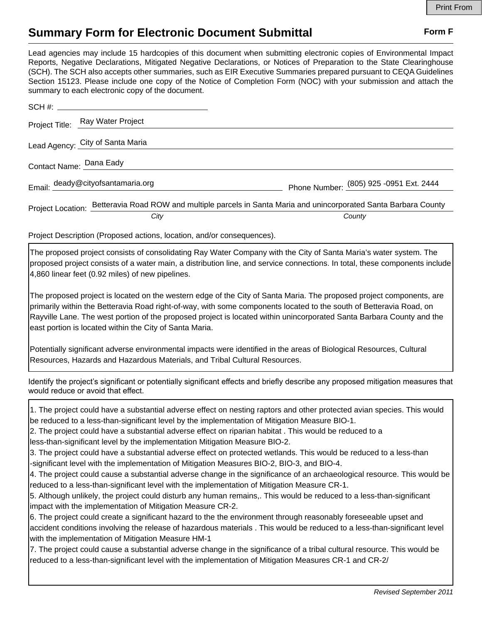## **Summary Form for Electronic Document Submittal Form F Form F**

Lead agencies may include 15 hardcopies of this document when submitting electronic copies of Environmental Impact Reports, Negative Declarations, Mitigated Negative Declarations, or Notices of Preparation to the State Clearinghouse (SCH). The SCH also accepts other summaries, such as EIR Executive Summaries prepared pursuant to CEQA Guidelines Section 15123. Please include one copy of the Notice of Completion Form (NOC) with your submission and attach the summary to each electronic copy of the document.

|                         | Project Title: Ray Water Project                                                                                  |                                         |
|-------------------------|-------------------------------------------------------------------------------------------------------------------|-----------------------------------------|
|                         | Lead Agency: City of Santa Maria                                                                                  |                                         |
| Contact Name: Dana Eady |                                                                                                                   |                                         |
|                         | Email: deady@cityofsantamaria.org                                                                                 | Phone Number: (805) 925 -0951 Ext. 2444 |
|                         | Project Location: Betteravia Road ROW and multiple parcels in Santa Maria and unincorporated Santa Barbara County |                                         |
|                         | City                                                                                                              | County                                  |

Project Description (Proposed actions, location, and/or consequences).

The proposed project consists of consolidating Ray Water Company with the City of Santa Maria's water system. The proposed project consists of a water main, a distribution line, and service connections. In total, these components include 4,860 linear feet (0.92 miles) of new pipelines.

The proposed project is located on the western edge of the City of Santa Maria. The proposed project components, are primarily within the Betteravia Road right-of-way, with some components located to the south of Betteravia Road, on Rayville Lane. The west portion of the proposed project is located within unincorporated Santa Barbara County and the east portion is located within the City of Santa Maria.

Potentially significant adverse environmental impacts were identified in the areas of Biological Resources, Cultural Resources, Hazards and Hazardous Materials, and Tribal Cultural Resources.

Identify the project's significant or potentially significant effects and briefly describe any proposed mitigation measures that would reduce or avoid that effect.

1. The project could have a substantial adverse effect on nesting raptors and other protected avian species. This would be reduced to a less-than-significant level by the implementation of Mitigation Measure BIO-1.

2. The project could have a substantial adverse effect on riparian habitat . This would be reduced to a less-than-significant level by the implementation Mitigation Measure BIO-2.

3. The project could have a substantial adverse effect on protected wetlands. This would be reduced to a less-than -significant level with the implementation of Mitigation Measures BIO-2, BIO-3, and BIO-4.

4. The project could cause a substantial adverse change in the significance of an archaeological resource. This would be reduced to a less-than-significant level with the implementation of Mitigation Measure CR-1.

5. Although unlikely, the project could disturb any human remains,. This would be reduced to a less-than-significant impact with the implementation of Mitigation Measure CR-2.

6. The project could create a significant hazard to the the environment through reasonably foreseeable upset and accident conditions involving the release of hazardous materials . This would be reduced to a less-than-significant level with the implementation of Mitigation Measure HM-1

7. The project could cause a substantial adverse change in the significance of a tribal cultural resource. This would be reduced to a less-than-significant level with the implementation of Mitigation Measures CR-1 and CR-2/